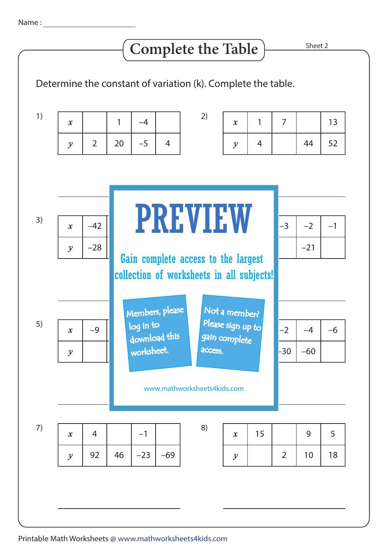